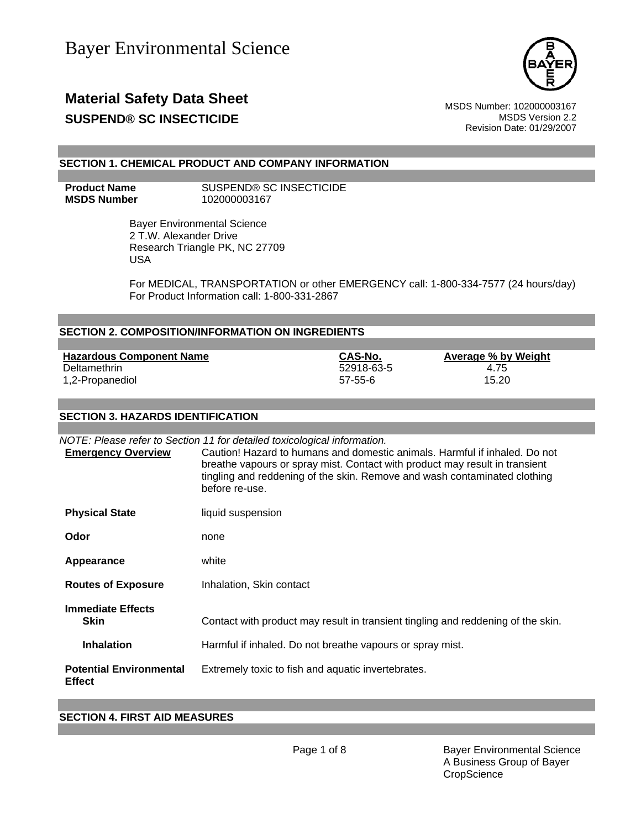

## **Material Safety Data Sheet** Material Safety Data Sheet MSDS Number: 102000003167 **SUSPEND® SC INSECTICIDE MSDS** Version 2.2

Revision Date: 01/29/2007

## **SECTION 1. CHEMICAL PRODUCT AND COMPANY INFORMATION**

**Product Name SUSPEND® SC INSECTICIDE MSDS Number** 102000003167

> Bayer Environmental Science 2 T.W. Alexander Drive Research Triangle PK, NC 27709 USA

For MEDICAL, TRANSPORTATION or other EMERGENCY call: 1-800-334-7577 (24 hours/day) For Product Information call: 1-800-331-2867

## **SECTION 2. COMPOSITION/INFORMATION ON INGREDIENTS**

| <b>Hazardous Component Name</b> | CAS-No.    | <b>Average % by Weight</b> |
|---------------------------------|------------|----------------------------|
| Deltamethrin                    | 52918-63-5 | 4.75                       |
| 1,2-Propanediol                 | 57-55-6    | 15.20                      |

#### **SECTION 3. HAZARDS IDENTIFICATION**

| <b>Emergency Overview</b>                       | NOTE: Please refer to Section 11 for detailed toxicological information.<br>Caution! Hazard to humans and domestic animals. Harmful if inhaled. Do not<br>breathe vapours or spray mist. Contact with product may result in transient<br>tingling and reddening of the skin. Remove and wash contaminated clothing<br>before re-use. |
|-------------------------------------------------|--------------------------------------------------------------------------------------------------------------------------------------------------------------------------------------------------------------------------------------------------------------------------------------------------------------------------------------|
| <b>Physical State</b>                           | liquid suspension                                                                                                                                                                                                                                                                                                                    |
| Odor                                            | none                                                                                                                                                                                                                                                                                                                                 |
| Appearance                                      | white                                                                                                                                                                                                                                                                                                                                |
| <b>Routes of Exposure</b>                       | Inhalation, Skin contact                                                                                                                                                                                                                                                                                                             |
| <b>Immediate Effects</b><br><b>Skin</b>         | Contact with product may result in transient tingling and reddening of the skin.                                                                                                                                                                                                                                                     |
| <b>Inhalation</b>                               | Harmful if inhaled. Do not breathe vapours or spray mist.                                                                                                                                                                                                                                                                            |
| <b>Potential Environmental</b><br><b>Effect</b> | Extremely toxic to fish and aquatic invertebrates.                                                                                                                                                                                                                                                                                   |

#### **SECTION 4. FIRST AID MEASURES**

Page 1 of 8 Bayer Environmental Science A Business Group of Bayer **CropScience**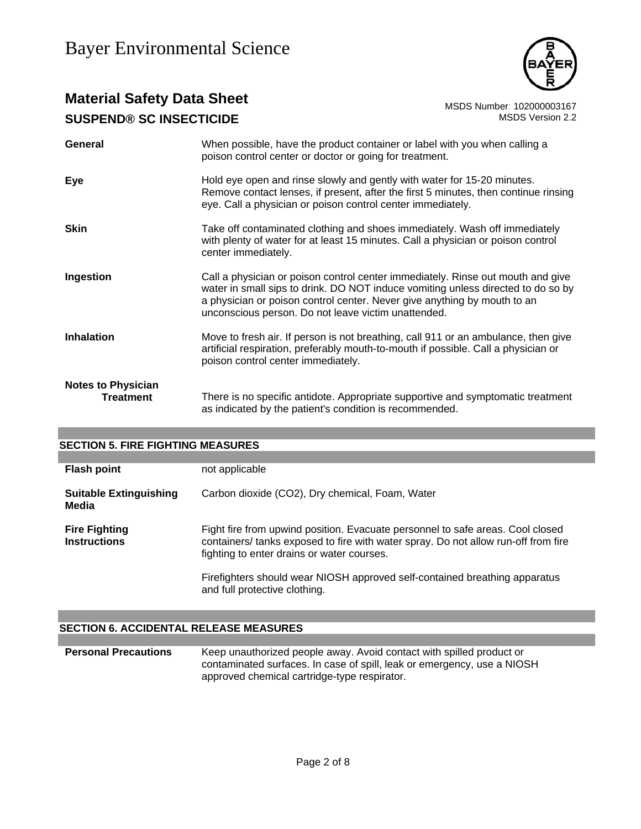

# **Material Safety Data Sheet**<br>10200003167 MSDS Number: 10200003167<br>1.2 MSDS Version 2.2 **SUSPEND® SC INSECTICIDE**

| <b>General</b>                         | When possible, have the product container or label with you when calling a<br>poison control center or doctor or going for treatment.                                                                                                                                                                  |
|----------------------------------------|--------------------------------------------------------------------------------------------------------------------------------------------------------------------------------------------------------------------------------------------------------------------------------------------------------|
| Eye                                    | Hold eye open and rinse slowly and gently with water for 15-20 minutes.<br>Remove contact lenses, if present, after the first 5 minutes, then continue rinsing<br>eye. Call a physician or poison control center immediately.                                                                          |
| <b>Skin</b>                            | Take off contaminated clothing and shoes immediately. Wash off immediately<br>with plenty of water for at least 15 minutes. Call a physician or poison control<br>center immediately.                                                                                                                  |
| Ingestion                              | Call a physician or poison control center immediately. Rinse out mouth and give<br>water in small sips to drink. DO NOT induce vomiting unless directed to do so by<br>a physician or poison control center. Never give anything by mouth to an<br>unconscious person. Do not leave victim unattended. |
| <b>Inhalation</b>                      | Move to fresh air. If person is not breathing, call 911 or an ambulance, then give<br>artificial respiration, preferably mouth-to-mouth if possible. Call a physician or<br>poison control center immediately.                                                                                         |
| <b>Notes to Physician</b><br>Treatment | There is no specific antidote. Appropriate supportive and symptomatic treatment<br>as indicated by the patient's condition is recommended.                                                                                                                                                             |

## **SECTION 5. FIRE FIGHTING MEASURES**

| <b>Flash point</b>                          | not applicable                                                                                                                                                                                                                                                                                   |
|---------------------------------------------|--------------------------------------------------------------------------------------------------------------------------------------------------------------------------------------------------------------------------------------------------------------------------------------------------|
| <b>Suitable Extinguishing</b><br>Media      | Carbon dioxide (CO2), Dry chemical, Foam, Water                                                                                                                                                                                                                                                  |
| <b>Fire Fighting</b><br><b>Instructions</b> | Fight fire from upwind position. Evacuate personnel to safe areas. Cool closed<br>containers/ tanks exposed to fire with water spray. Do not allow run-off from fire<br>fighting to enter drains or water courses.<br>Firefighters should wear NIOSH approved self-contained breathing apparatus |
|                                             | and full protective clothing.                                                                                                                                                                                                                                                                    |

## **SECTION 6. ACCIDENTAL RELEASE MEASURES**

**Personal Precautions** Keep unauthorized people away. Avoid contact with spilled product or contaminated surfaces. In case of spill, leak or emergency, use a NIOSH approved chemical cartridge-type respirator.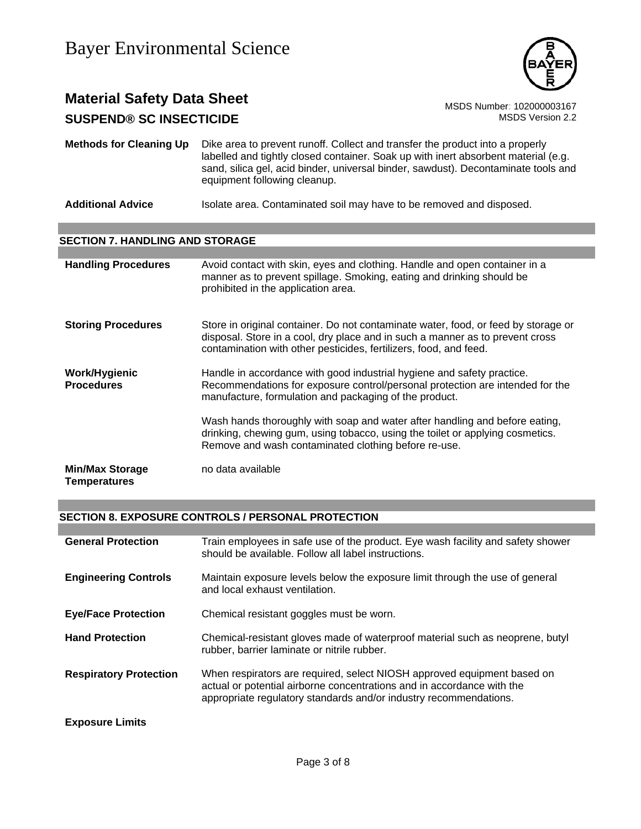

## **Material Safety Data Sheet** MSDS Number: 102000003167 **SUSPEND® SC INSECTICIDE MSDS** Version 2.2

**Methods for Cleaning Up** Dike area to prevent runoff. Collect and transfer the product into a properly labelled and tightly closed container. Soak up with inert absorbent material (e.g. sand, silica gel, acid binder, universal binder, sawdust). Decontaminate tools and equipment following cleanup.

Additional Advice **Isolate area.** Contaminated soil may have to be removed and disposed.

## **SECTION 7. HANDLING AND STORAGE**

| <b>Handling Procedures</b>                    | Avoid contact with skin, eyes and clothing. Handle and open container in a<br>manner as to prevent spillage. Smoking, eating and drinking should be<br>prohibited in the application area.                                               |
|-----------------------------------------------|------------------------------------------------------------------------------------------------------------------------------------------------------------------------------------------------------------------------------------------|
| <b>Storing Procedures</b>                     | Store in original container. Do not contaminate water, food, or feed by storage or<br>disposal. Store in a cool, dry place and in such a manner as to prevent cross<br>contamination with other pesticides, fertilizers, food, and feed. |
| Work/Hygienic<br><b>Procedures</b>            | Handle in accordance with good industrial hygiene and safety practice.<br>Recommendations for exposure control/personal protection are intended for the<br>manufacture, formulation and packaging of the product.                        |
|                                               | Wash hands thoroughly with soap and water after handling and before eating,<br>drinking, chewing gum, using tobacco, using the toilet or applying cosmetics.<br>Remove and wash contaminated clothing before re-use.                     |
| <b>Min/Max Storage</b><br><b>Temperatures</b> | no data available                                                                                                                                                                                                                        |

## **SECTION 8. EXPOSURE CONTROLS / PERSONAL PROTECTION**

| <b>General Protection</b>     | Train employees in safe use of the product. Eye wash facility and safety shower<br>should be available. Follow all label instructions.                                                                                 |
|-------------------------------|------------------------------------------------------------------------------------------------------------------------------------------------------------------------------------------------------------------------|
| <b>Engineering Controls</b>   | Maintain exposure levels below the exposure limit through the use of general<br>and local exhaust ventilation.                                                                                                         |
| <b>Eye/Face Protection</b>    | Chemical resistant goggles must be worn.                                                                                                                                                                               |
| <b>Hand Protection</b>        | Chemical-resistant gloves made of waterproof material such as neoprene, butyl<br>rubber, barrier laminate or nitrile rubber.                                                                                           |
| <b>Respiratory Protection</b> | When respirators are required, select NIOSH approved equipment based on<br>actual or potential airborne concentrations and in accordance with the<br>appropriate regulatory standards and/or industry recommendations. |
| <b>Exposure Limits</b>        |                                                                                                                                                                                                                        |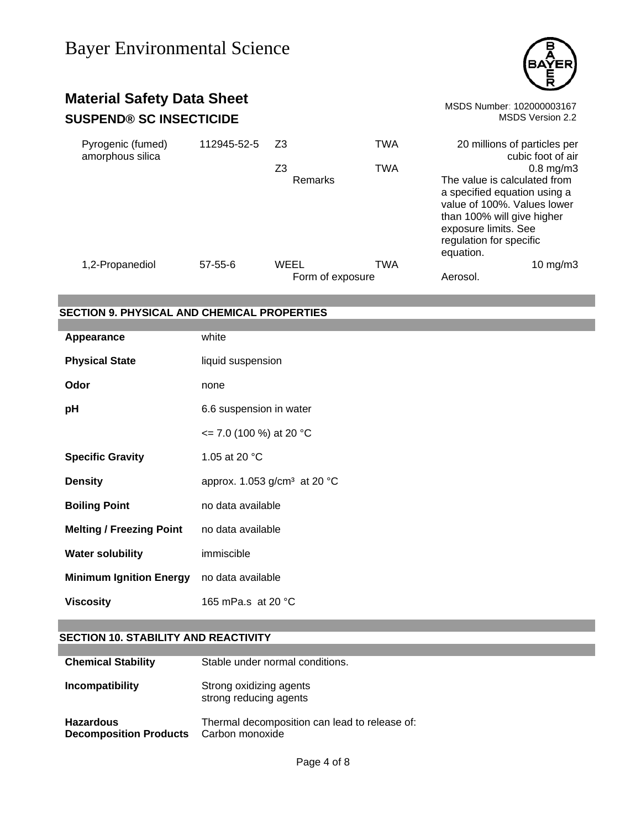

# **Material Safety Data Sheet**<br>
SUSPEND® SC INSECTICIDE<br>
MSDS Version 2.2 **SUSPEND® SC INSECTICIDE**

| Pyrogenic (fumed)<br>amorphous silica | 112945-52-5   | Z3                       | <b>TWA</b> | 20 millions of particles per<br>cubic foot of air                                                                                                                                                           |
|---------------------------------------|---------------|--------------------------|------------|-------------------------------------------------------------------------------------------------------------------------------------------------------------------------------------------------------------|
|                                       |               | Z3<br>Remarks            | <b>TWA</b> | $0.8$ mg/m $3$<br>The value is calculated from<br>a specified equation using a<br>value of 100%. Values lower<br>than 100% will give higher<br>exposure limits. See<br>regulation for specific<br>equation. |
| 1,2-Propanediol                       | $57 - 55 - 6$ | WEEL<br>Form of exposure | TWA        | $10 \text{ mg/m}$<br>Aerosol.                                                                                                                                                                               |

## **SECTION 9. PHYSICAL AND CHEMICAL PROPERTIES**

| Appearance                      | white                                              |
|---------------------------------|----------------------------------------------------|
| <b>Physical State</b>           | liquid suspension                                  |
| Odor                            | none                                               |
| pH                              | 6.6 suspension in water                            |
|                                 | $\epsilon$ = 7.0 (100 %) at 20 °C                  |
| <b>Specific Gravity</b>         | 1.05 at 20 °C                                      |
| <b>Density</b>                  | approx. 1.053 g/cm <sup>3</sup> at 20 $^{\circ}$ C |
| <b>Boiling Point</b>            | no data available                                  |
| <b>Melting / Freezing Point</b> | no data available                                  |
| <b>Water solubility</b>         | immiscible                                         |
| <b>Minimum Ignition Energy</b>  | no data available                                  |
| <b>Viscosity</b>                | 165 mPa.s at 20 °C                                 |

## **SECTION 10. STABILITY AND REACTIVITY**

| <b>Chemical Stability</b>                         | Stable under normal conditions.                                  |
|---------------------------------------------------|------------------------------------------------------------------|
| Incompatibility                                   | Strong oxidizing agents<br>strong reducing agents                |
| <b>Hazardous</b><br><b>Decomposition Products</b> | Thermal decomposition can lead to release of:<br>Carbon monoxide |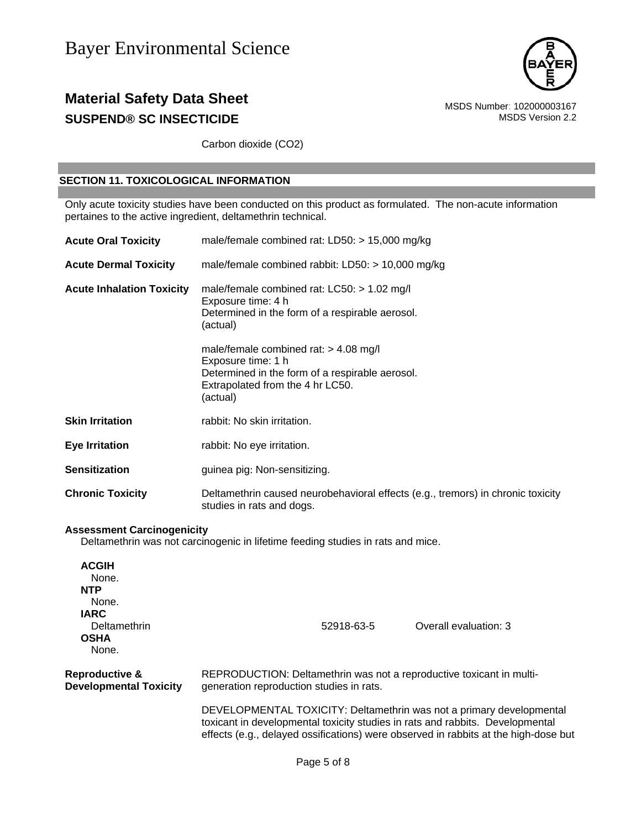

## **Material Safety Data Sheet**<br>
SUSPEND® SC INSECTICIDE<br>
MSDS Version 2.2 **SUSPEND® SC INSECTICIDE**

Carbon dioxide (CO2)

## **SECTION 11. TOXICOLOGICAL INFORMATION**

Only acute toxicity studies have been conducted on this product as formulated. The non-acute information pertaines to the active ingredient, deltamethrin technical.

| <b>Acute Oral Toxicity</b>        | male/female combined rat: LD50: > 15,000 mg/kg                                                                                                                   |
|-----------------------------------|------------------------------------------------------------------------------------------------------------------------------------------------------------------|
| <b>Acute Dermal Toxicity</b>      | male/female combined rabbit: LD50: > 10,000 mg/kg                                                                                                                |
| <b>Acute Inhalation Toxicity</b>  | male/female combined rat: LC50: > 1.02 mg/l<br>Exposure time: 4 h<br>Determined in the form of a respirable aerosol.<br>(actual)                                 |
|                                   | male/female combined rat: $> 4.08$ mg/l<br>Exposure time: 1 h<br>Determined in the form of a respirable aerosol.<br>Extrapolated from the 4 hr LC50.<br>(actual) |
| <b>Skin Irritation</b>            | rabbit: No skin irritation.                                                                                                                                      |
| <b>Eye Irritation</b>             | rabbit: No eye irritation.                                                                                                                                       |
| <b>Sensitization</b>              | guinea pig: Non-sensitizing.                                                                                                                                     |
| <b>Chronic Toxicity</b>           | Deltamethrin caused neurobehavioral effects (e.g., tremors) in chronic toxicity<br>studies in rats and dogs.                                                     |
| <b>Assessment Carcinogenicity</b> | Deltamethrin was not carcinogenic in lifetime feeding studies in rats and mice.                                                                                  |
| <b>ACGIH</b><br>None.<br>הדוג     |                                                                                                                                                                  |

| <b>NTP</b><br>None.<br><b>IARC</b><br>Deltamethrin<br><b>OSHA</b><br>None. |                                                                                                                  | 52918-63-5 | Overall evaluation: 3                                                                                                                                                                                                                        |
|----------------------------------------------------------------------------|------------------------------------------------------------------------------------------------------------------|------------|----------------------------------------------------------------------------------------------------------------------------------------------------------------------------------------------------------------------------------------------|
| Reproductive &<br><b>Developmental Toxicity</b>                            | REPRODUCTION: Deltamethrin was not a reproductive toxicant in multi-<br>generation reproduction studies in rats. |            |                                                                                                                                                                                                                                              |
|                                                                            |                                                                                                                  |            | DEVELOPMENTAL TOXICITY: Deltamethrin was not a primary developmental<br>toxicant in developmental toxicity studies in rats and rabbits. Developmental<br>effects (e.g., delayed ossifications) were observed in rabbits at the high-dose but |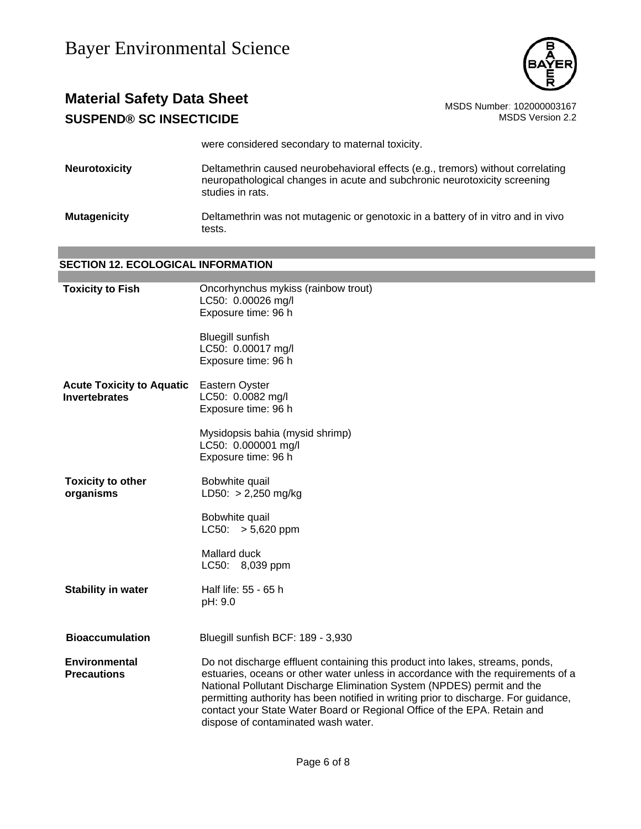

# **Material Safety Data Sheet** Material Safety Data Sheet<br>10200003167 MSDS Number: 102000003167<br>1.2 MSDS Version 2.2 **SUSPEND® SC INSECTICIDE**

were considered secondary to maternal toxicity.

**Neurotoxicity** Deltamethrin caused neurobehavioral effects (e.g., tremors) without correlating neuropathological changes in acute and subchronic neurotoxicity screening studies in rats.

**Mutagenicity** Deltamethrin was not mutagenic or genotoxic in a battery of in vitro and in vivo tests.

## **SECTION 12. ECOLOGICAL INFORMATION**

| <b>Toxicity to Fish</b>                                  | Oncorhynchus mykiss (rainbow trout)<br>LC50: 0.00026 mg/l<br>Exposure time: 96 h                                                                                                                                                                                                                                                                                                                                                                      |
|----------------------------------------------------------|-------------------------------------------------------------------------------------------------------------------------------------------------------------------------------------------------------------------------------------------------------------------------------------------------------------------------------------------------------------------------------------------------------------------------------------------------------|
|                                                          | <b>Bluegill sunfish</b><br>LC50: 0.00017 mg/l<br>Exposure time: 96 h                                                                                                                                                                                                                                                                                                                                                                                  |
| <b>Acute Toxicity to Aquatic</b><br><b>Invertebrates</b> | Eastern Oyster<br>LC50: 0.0082 mg/l<br>Exposure time: 96 h                                                                                                                                                                                                                                                                                                                                                                                            |
|                                                          | Mysidopsis bahia (mysid shrimp)<br>LC50: 0.000001 mg/l<br>Exposure time: 96 h                                                                                                                                                                                                                                                                                                                                                                         |
| <b>Toxicity to other</b><br>organisms                    | Bobwhite quail<br>$LD50: > 2,250$ mg/kg                                                                                                                                                                                                                                                                                                                                                                                                               |
|                                                          | Bobwhite quail<br>$LC50: > 5,620$ ppm                                                                                                                                                                                                                                                                                                                                                                                                                 |
|                                                          | Mallard duck<br>LC50: 8,039 ppm                                                                                                                                                                                                                                                                                                                                                                                                                       |
| <b>Stability in water</b>                                | Half life: 55 - 65 h<br>pH: 9.0                                                                                                                                                                                                                                                                                                                                                                                                                       |
| <b>Bioaccumulation</b>                                   | Bluegill sunfish BCF: 189 - 3,930                                                                                                                                                                                                                                                                                                                                                                                                                     |
| <b>Environmental</b><br><b>Precautions</b>               | Do not discharge effluent containing this product into lakes, streams, ponds,<br>estuaries, oceans or other water unless in accordance with the requirements of a<br>National Pollutant Discharge Elimination System (NPDES) permit and the<br>permitting authority has been notified in writing prior to discharge. For guidance,<br>contact your State Water Board or Regional Office of the EPA. Retain and<br>dispose of contaminated wash water. |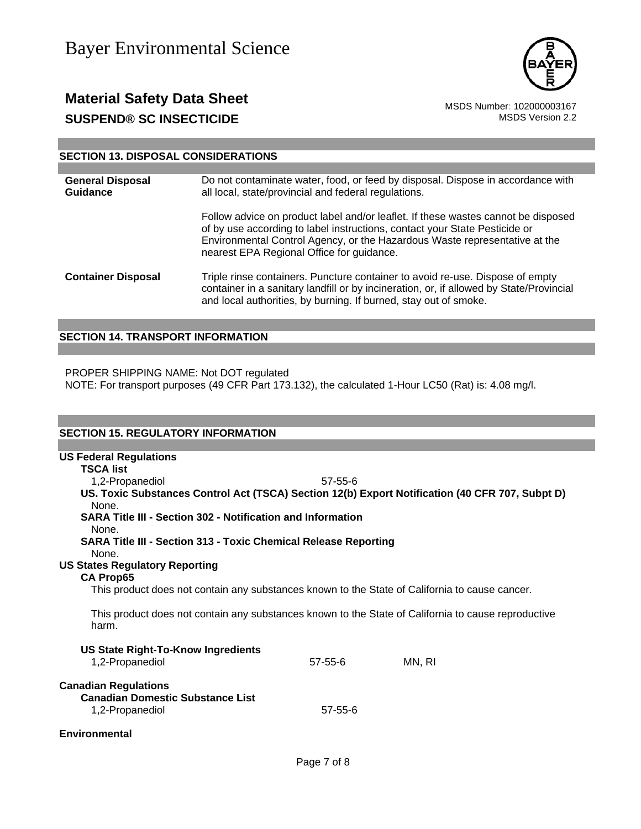

## **Material Safety Data Sheet**<br>**SUSPEND® SC INSECTICIDE** MSDS Number: 102000003167<br>MSDS Version 2.2 **SUSPEND® SC INSECTICIDE**

## **SECTION 13. DISPOSAL CONSIDERATIONS**

| <b>General Disposal</b><br>Guidance | Do not contaminate water, food, or feed by disposal. Dispose in accordance with<br>all local, state/provincial and federal regulations.                                                                                                                                                    |  |
|-------------------------------------|--------------------------------------------------------------------------------------------------------------------------------------------------------------------------------------------------------------------------------------------------------------------------------------------|--|
|                                     | Follow advice on product label and/or leaflet. If these wastes cannot be disposed<br>of by use according to label instructions, contact your State Pesticide or<br>Environmental Control Agency, or the Hazardous Waste representative at the<br>nearest EPA Regional Office for guidance. |  |
| <b>Container Disposal</b>           | Triple rinse containers. Puncture container to avoid re-use. Dispose of empty<br>container in a sanitary landfill or by incineration, or, if allowed by State/Provincial<br>and local authorities, by burning. If burned, stay out of smoke.                                               |  |

## **SECTION 14. TRANSPORT INFORMATION**

PROPER SHIPPING NAME: Not DOT regulated

NOTE: For transport purposes (49 CFR Part 173.132), the calculated 1-Hour LC50 (Rat) is: 4.08 mg/l.

## **SECTION 15. REGULATORY INFORMATION**

| <b>US Federal Regulations</b>                                                                                |               |        |  |
|--------------------------------------------------------------------------------------------------------------|---------------|--------|--|
| <b>TSCA list</b>                                                                                             |               |        |  |
| 1,2-Propanediol                                                                                              | $57 - 55 - 6$ |        |  |
| US. Toxic Substances Control Act (TSCA) Section 12(b) Export Notification (40 CFR 707, Subpt D)<br>None.     |               |        |  |
| SARA Title III - Section 302 - Notification and Information<br>None.                                         |               |        |  |
| <b>SARA Title III - Section 313 - Toxic Chemical Release Reporting</b><br>None.                              |               |        |  |
| <b>US States Regulatory Reporting</b>                                                                        |               |        |  |
| <b>CA Prop65</b>                                                                                             |               |        |  |
| This product does not contain any substances known to the State of California to cause cancer.               |               |        |  |
| This product does not contain any substances known to the State of California to cause reproductive<br>harm. |               |        |  |
| <b>US State Right-To-Know Ingredients</b>                                                                    |               |        |  |
| 1,2-Propanediol                                                                                              | $57 - 55 - 6$ | MN. RI |  |
| <b>Canadian Regulations</b><br><b>Canadian Domestic Substance List</b>                                       |               |        |  |
| 1,2-Propanediol                                                                                              | $57 - 55 - 6$ |        |  |
| Environmental                                                                                                |               |        |  |